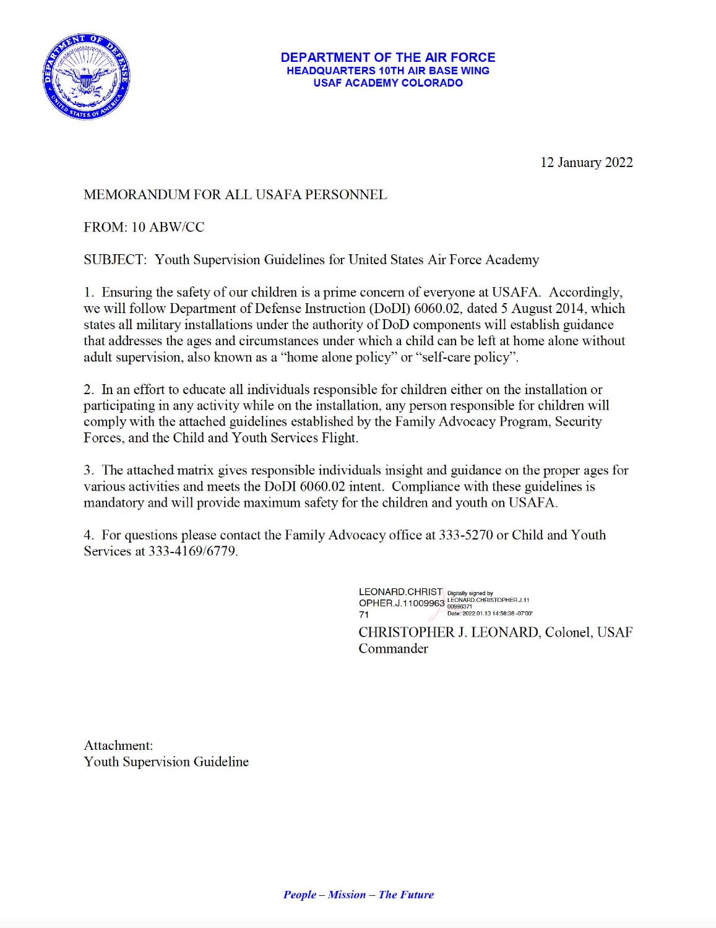

## **DEPARTMENT OF THE AIR FORCE HEADQUARTERS 10TH AIR BASE WING USAF ACADEMY COLORADO**

12 January 2022

## **MEMORANDUM FOR ALL USAFA PERSONNEL**

## FROM: 10 ABW/CC

SUBJECT: Youth Supervision Guidelines for United States Air Force Academy

1. Ensuring the safety of our children is a prime concern of everyone at USAFA. Accordingly, we will follow Department of Defense Instruction (DoDI) 6060.02, dated 5 August 2014, which states all military installations under the authority of DoD components will establish guidance that addresses the ages and circumstances under which a child can be left at home alone without adult supervision, also known as a "home alone policy" or "self-care policy".

2. In an effort to educate all individuals responsible for children either on the installation or participating in any activity while on the installation, any person responsible for children will comply with the attached guidelines established by the Family Advocacy Program, Security Forces, and the Child and Youth Services Flight.

3. The attached matrix gives responsible individuals insight and guidance on the proper ages for various activities and meets the DoDI 6060.02 intent. Compliance with these guidelines is mandatory and will provide maximum safety for the children and youth on USAFA.

4. For questions please contact the Family Advocacy office at 333-5270 or Child and Youth Services at 333-4169/6779.

> LEONARD.CHRIST Digitally signed by<br>OPHER.J.11009963 LEONARD.CHRISTOPHER.J.11 Date: 2022.01.13 14:58:38 -07'00' 71 CHRISTOPHER J. LEONARD, Colonel, USAF

Commander



**People – Mission – The Future**